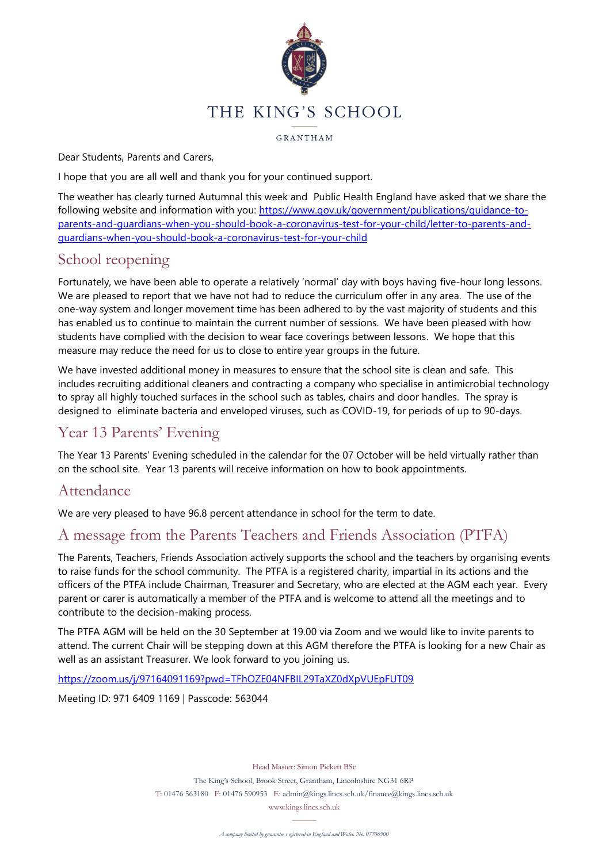

GRANTHAM

Dear Students, Parents and Carers,

I hope that you are all well and thank you for your continued support.

The weather has clearly turned Autumnal this week and Public Health England have asked that we share the following website and information with you: [https://www.gov.uk/government/publications/guidance-to](https://www.gov.uk/government/publications/guidance-to-parents-and-guardians-when-you-should-book-a-coronavirus-test-for-your-child/letter-to-parents-and-guardians-when-you-should-book-a-coronavirus-test-for-your-child)[parents-and-guardians-when-you-should-book-a-coronavirus-test-for-your-child/letter-to-parents-and](https://www.gov.uk/government/publications/guidance-to-parents-and-guardians-when-you-should-book-a-coronavirus-test-for-your-child/letter-to-parents-and-guardians-when-you-should-book-a-coronavirus-test-for-your-child)[guardians-when-you-should-book-a-coronavirus-test-for-your-child](https://www.gov.uk/government/publications/guidance-to-parents-and-guardians-when-you-should-book-a-coronavirus-test-for-your-child/letter-to-parents-and-guardians-when-you-should-book-a-coronavirus-test-for-your-child)

## School reopening

Fortunately, we have been able to operate a relatively 'normal' day with boys having five-hour long lessons. We are pleased to report that we have not had to reduce the curriculum offer in any area. The use of the one-way system and longer movement time has been adhered to by the vast majority of students and this has enabled us to continue to maintain the current number of sessions. We have been pleased with how students have complied with the decision to wear face coverings between lessons. We hope that this measure may reduce the need for us to close to entire year groups in the future.

We have invested additional money in measures to ensure that the school site is clean and safe. This includes recruiting additional cleaners and contracting a company who specialise in antimicrobial technology to spray all highly touched surfaces in the school such as tables, chairs and door handles. The spray is designed to eliminate bacteria and enveloped viruses, such as COVID-19, for periods of up to 90-days.

# Year 13 Parents' Evening

The Year 13 Parents' Evening scheduled in the calendar for the 07 October will be held virtually rather than on the school site. Year 13 parents will receive information on how to book appointments.

## Attendance

We are very pleased to have 96.8 percent attendance in school for the term to date.

# A message from the Parents Teachers and Friends Association (PTFA)

The Parents, Teachers, Friends Association actively supports the school and the teachers by organising events to raise funds for the school community. The PTFA is a registered charity, impartial in its actions and the officers of the PTFA include Chairman, Treasurer and Secretary, who are elected at the AGM each year. Every parent or carer is automatically a member of the PTFA and is welcome to attend all the meetings and to contribute to the decision-making process.

The PTFA AGM will be held on the 30 September at 19.00 via Zoom and we would like to invite parents to attend. The current Chair will be stepping down at this AGM therefore the PTFA is looking for a new Chair as well as an assistant Treasurer. We look forward to you joining us.

<https://zoom.us/j/97164091169?pwd=TFhOZE04NFBIL29TaXZ0dXpVUEpFUT09>

Meeting ID: 971 6409 1169 | Passcode: 563044

Head Master: Simon Pickett BSc The King's School, Brook Street, Grantham, Lincolnshire NG31 6RP T: 01476 563180 F: 01476 590953 E: admin@kings.lincs.sch.uk/finance@kings.lincs.sch.uk

www.kings.lincs.sch.uk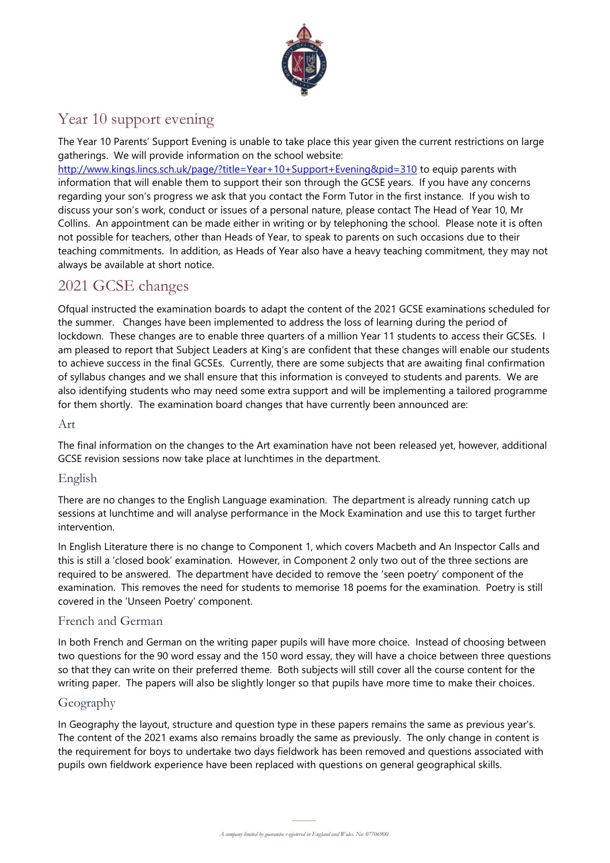

# Year 10 support evening

The Year 10 Parents' Support Evening is unable to take place this year given the current restrictions on large gatherings. We will provide information on the school website:

<http://www.kings.lincs.sch.uk/page/?title=Year+10+Support+Evening&pid=310> to equip parents with information that will enable them to support their son through the GCSE years. If you have any concerns regarding your son's progress we ask that you contact the Form Tutor in the first instance. If you wish to discuss your son's work, conduct or issues of a personal nature, please contact The Head of Year 10, Mr Collins. An appointment can be made either in writing or by telephoning the school. Please note it is often not possible for teachers, other than Heads of Year, to speak to parents on such occasions due to their teaching commitments. In addition, as Heads of Year also have a heavy teaching commitment, they may not always be available at short notice.

# 2021 GCSE changes

Ofqual instructed the examination boards to adapt the content of the 2021 GCSE examinations scheduled for the summer. Changes have been implemented to address the loss of learning during the period of lockdown. These changes are to enable three quarters of a million Year 11 students to access their GCSEs. I am pleased to report that Subject Leaders at King's are confident that these changes will enable our students to achieve success in the final GCSEs. Currently, there are some subjects that are awaiting final confirmation of syllabus changes and we shall ensure that this information is conveyed to students and parents. We are also identifying students who may need some extra support and will be implementing a tailored programme for them shortly. The examination board changes that have currently been announced are:

#### Art

The final information on the changes to the Art examination have not been released yet, however, additional GCSE revision sessions now take place at lunchtimes in the department.

## English

There are no changes to the English Language examination. The department is already running catch up sessions at lunchtime and will analyse performance in the Mock Examination and use this to target further intervention.

In English Literature there is no change to Component 1, which covers Macbeth and An Inspector Calls and this is still a 'closed book' examination. However, in Component 2 only two out of the three sections are required to be answered. The department have decided to remove the 'seen poetry' component of the examination. This removes the need for students to memorise 18 poems for the examination. Poetry is still covered in the 'Unseen Poetry' component.

## French and German

In both French and German on the writing paper pupils will have more choice. Instead of choosing between two questions for the 90 word essay and the 150 word essay, they will have a choice between three questions so that they can write on their preferred theme. Both subjects will still cover all the course content for the writing paper. The papers will also be slightly longer so that pupils have more time to make their choices.

## Geography

pupils own fieldwork experience have been replaced with questions on general geographical skills. In Geography the layout, structure and question type in these papers remains the same as previous year's. The content of the 2021 exams also remains broadly the same as previously. The only change in content is the requirement for boys to undertake two days fieldwork has been removed and questions associated with